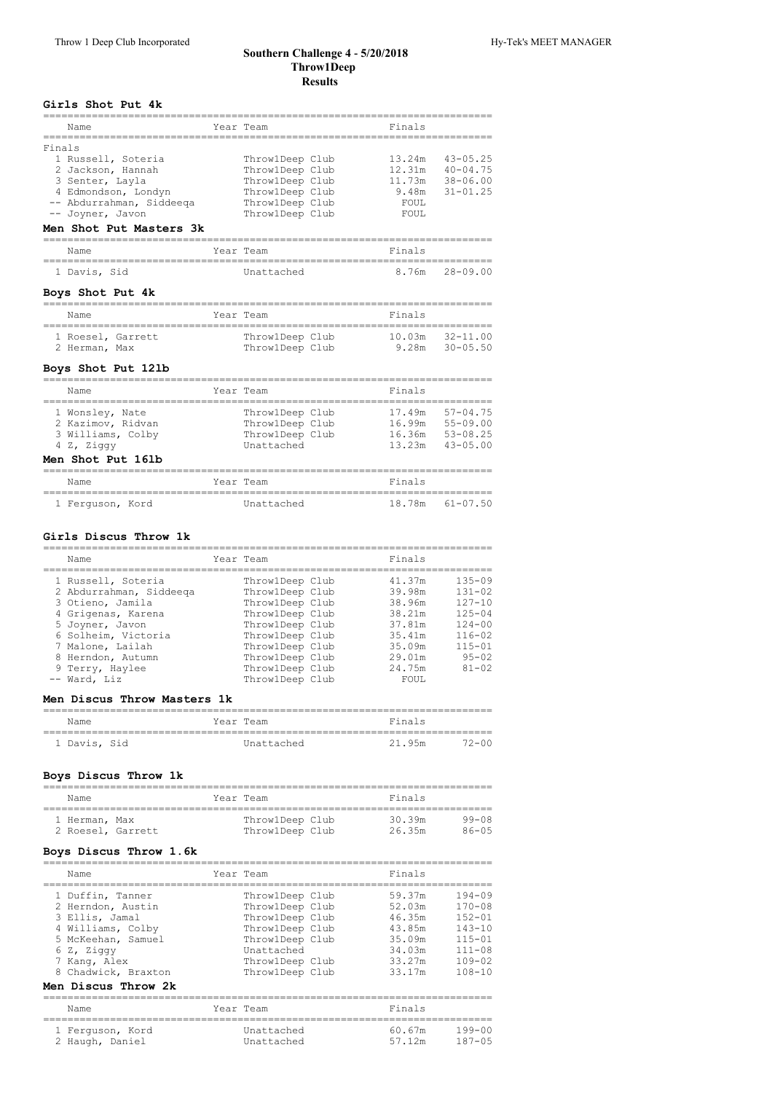#### **Southern Challenge 4 ‑ 5/20/2018 Throw1Deep Results**

# **Girls Shot Put 4k**

|        | Name                                                    | Year Team                        | Finals |              |
|--------|---------------------------------------------------------|----------------------------------|--------|--------------|
| Finals | 1 Russell, Soteria                                      | ThrowlDeep Club                  | 13.24m | $43 - 05.25$ |
|        | 2 Jackson, Hannah                                       | ThrowlDeep Club                  | 12.31m | $40 - 04.75$ |
|        | 3 Senter, Layla                                         | ThrowlDeep Club                  | 11.73m | $38 - 06.00$ |
|        | 4 Edmondson, Londyn                                     | ThrowlDeep Club                  | 9.48m  | $31 - 01.25$ |
|        | -- Abdurrahman, Siddeeqa                                | ThrowlDeep Club                  | FOUL   |              |
|        | -- Joyner, Javon                                        | ThrowlDeep Club                  | FOUL   |              |
|        | Men Shot Put Masters 3k                                 |                                  |        |              |
|        | Name                                                    | Year Team                        | Finals |              |
|        | 1 Davis, Sid                                            | Unattached                       | 8.76m  | $28 - 09.00$ |
|        | Boys Shot Put 4k<br>=================================== | -------------------------------- |        |              |
|        | Name<br>======================================          | Year Team                        | Finals |              |
|        | 1 Roesel, Garrett                                       | ThrowlDeep Club                  | 10.03m | 32-11.00     |
|        | 2 Herman, Max                                           | Throw1Deep Club                  | 9.28m  | $30 - 05.50$ |
|        | Boys Shot Put 121b                                      |                                  |        |              |
|        | Name                                                    | Year Team                        | Finals |              |
|        | 1 Wonsley, Nate                                         | ThrowlDeep Club                  | 17.49m | $57 - 04.75$ |
|        | 2 Kazimov, Ridvan                                       | Throw1Deep Club                  | 16.99m | $55 - 09.00$ |
|        | 3 Williams, Colby                                       | ThrowlDeep Club                  | 16.36m | $53 - 08.25$ |
|        | 4 Z, Ziggy                                              | Unattached                       | 13.23m | $43 - 05.00$ |
|        | Men Shot Put 161b<br>_________                          |                                  |        |              |
|        | Name<br>-------------------                             | Year Team<br>-------------       | Finals |              |

1 Ferguson, Kord Unattached 18.78m 61-07.50

#### **Girls Discus Throw 1k**

| Name                                                                                                                                                                                          | Year Team                                                                                                                                                               | Finals                                                                                 |                                                                                                                          |
|-----------------------------------------------------------------------------------------------------------------------------------------------------------------------------------------------|-------------------------------------------------------------------------------------------------------------------------------------------------------------------------|----------------------------------------------------------------------------------------|--------------------------------------------------------------------------------------------------------------------------|
| 1 Russell, Soteria<br>2 Abdurrahman, Siddeega<br>3 Otieno, Jamila<br>4 Grigenas, Karena<br>5 Joyner, Javon<br>6 Solheim, Victoria<br>7 Malone, Lailah<br>8 Herndon, Autumn<br>9 Terry, Haylee | ThrowlDeep Club<br>ThrowlDeep Club<br>ThrowlDeep Club<br>ThrowlDeep Club<br>ThrowlDeep Club<br>ThrowlDeep Club<br>ThrowlDeep Club<br>ThrowlDeep Club<br>ThrowlDeep Club | 41.37m<br>39.98m<br>38.96m<br>38.21m<br>37.81m<br>35.41m<br>35.09m<br>29.01m<br>24.75m | $135 - 09$<br>$131 - 02$<br>$127 - 10$<br>$125 - 04$<br>$124 - 00$<br>$116 - 02$<br>$115 - 01$<br>$95 - 02$<br>$81 - 02$ |
| -- Ward, Liz                                                                                                                                                                                  | ThrowlDeep Club                                                                                                                                                         | FOUL.                                                                                  |                                                                                                                          |

#### **Men Discus Throw Masters 1k**

| Name         | Year Team  | Finals          |
|--------------|------------|-----------------|
| 1 Davis, Sid | Unattached | 21.95m<br>12-00 |

#### **Boys Discus Throw 1k**

| Name                               |  | Year Team                          | Finals           |                    |
|------------------------------------|--|------------------------------------|------------------|--------------------|
| 1 Herman, Max<br>2 Roesel, Garrett |  | ThrowlDeep Club<br>ThrowlDeep Club | 30.39m<br>26.35m | 99-08<br>$86 - 05$ |

## **Boys Discus Throw 1.6k**

| Name                                                                                                                                                                           | Year Team                                                                                                                                       | Finals                                                                       |                                                                                                              |
|--------------------------------------------------------------------------------------------------------------------------------------------------------------------------------|-------------------------------------------------------------------------------------------------------------------------------------------------|------------------------------------------------------------------------------|--------------------------------------------------------------------------------------------------------------|
| 1 Duffin, Tanner<br>2 Herndon, Austin<br>3 Ellis, Jamal<br>4 Williams, Colby<br>5 McKeehan, Samuel<br>6 Z, Ziggy<br>7 Kang, Alex<br>8 Chadwick, Braxton<br>Men Discus Throw 2k | ThrowlDeep Club<br>ThrowlDeep Club<br>ThrowlDeep Club<br>ThrowlDeep Club<br>ThrowlDeep Club<br>Unattached<br>ThrowlDeep Club<br>ThrowlDeep Club | 59.37m<br>52.03m<br>46.35m<br>43.85m<br>35.09m<br>34.03m<br>33.27m<br>33.17m | $194 - 09$<br>$170 - 08$<br>$152 - 01$<br>$143 - 10$<br>$115 - 01$<br>$111 - 08$<br>$109 - 02$<br>$108 - 10$ |
| Name                                                                                                                                                                           | Year Team                                                                                                                                       | Finals                                                                       |                                                                                                              |
| 1 Ferquson, Kord<br>2 Haugh, Daniel                                                                                                                                            | Unattached<br>Unattached                                                                                                                        | 60.67m<br>57.12m                                                             | $199 - 00$<br>$187 - 05$                                                                                     |